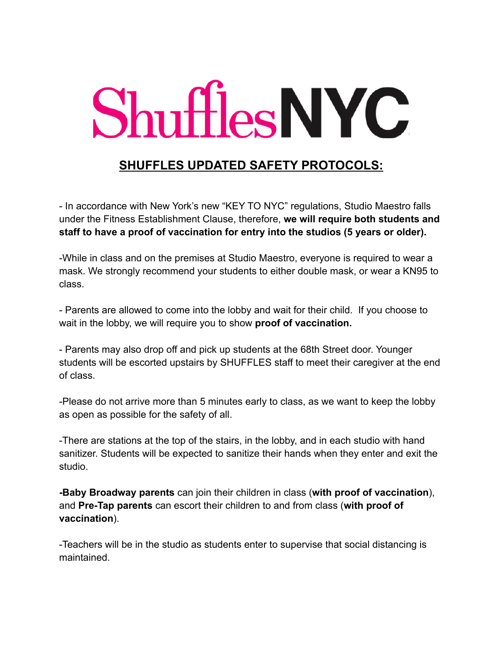## **Shuffles NYC**

### **SHUFFLES UPDATED SAFETY PROTOCOLS:**

- In accordance with New York's new "KEY TO NYC" regulations, Studio Maestro falls under the Fitness Establishment Clause, therefore, **we will require both students and staff to have a proof of vaccination for entry into the studios (5 years or older).**

-While in class and on the premises at Studio Maestro, everyone is required to wear a mask. We strongly recommend your students to either double mask, or wear a KN95 to class.

- Parents are allowed to come into the lobby and wait for their child. If you choose to wait in the lobby, we will require you to show **proof of vaccination.**

- Parents may also drop off and pick up students at the 68th Street door. Younger students will be escorted upstairs by SHUFFLES staff to meet their caregiver at the end of class.

-Please do not arrive more than 5 minutes early to class, as we want to keep the lobby as open as possible for the safety of all.

-There are stations at the top of the stairs, in the lobby, and in each studio with hand sanitizer. Students will be expected to sanitize their hands when they enter and exit the studio.

**-Baby Broadway parents** can join their children in class (**with proof of vaccination**), and **Pre-Tap parents** can escort their children to and from class (**with proof of vaccination**).

-Teachers will be in the studio as students enter to supervise that social distancing is maintained.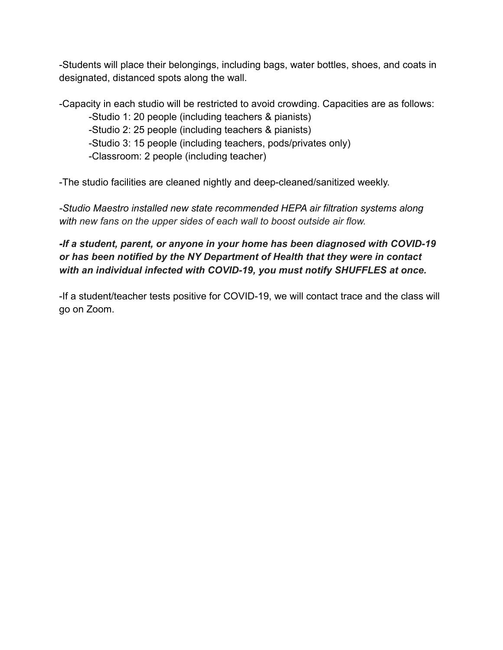-Students will place their belongings, including bags, water bottles, shoes, and coats in designated, distanced spots along the wall.

-Capacity in each studio will be restricted to avoid crowding. Capacities are as follows:

-Studio 1: 20 people (including teachers & pianists)

-Studio 2: 25 people (including teachers & pianists)

-Studio 3: 15 people (including teachers, pods/privates only)

-Classroom: 2 people (including teacher)

-The studio facilities are cleaned nightly and deep-cleaned/sanitized weekly.

*-Studio Maestro installed new state recommended HEPA air filtration systems along with new fans on the upper sides of each wall to boost outside air flow.*

*-If a student, parent, or anyone in your home has been diagnosed with COVID-19 or has been notified by the NY Department of Health that they were in contact with an individual infected with COVID-19, you must notify SHUFFLES at once.*

-If a student/teacher tests positive for COVID-19, we will contact trace and the class will go on Zoom.